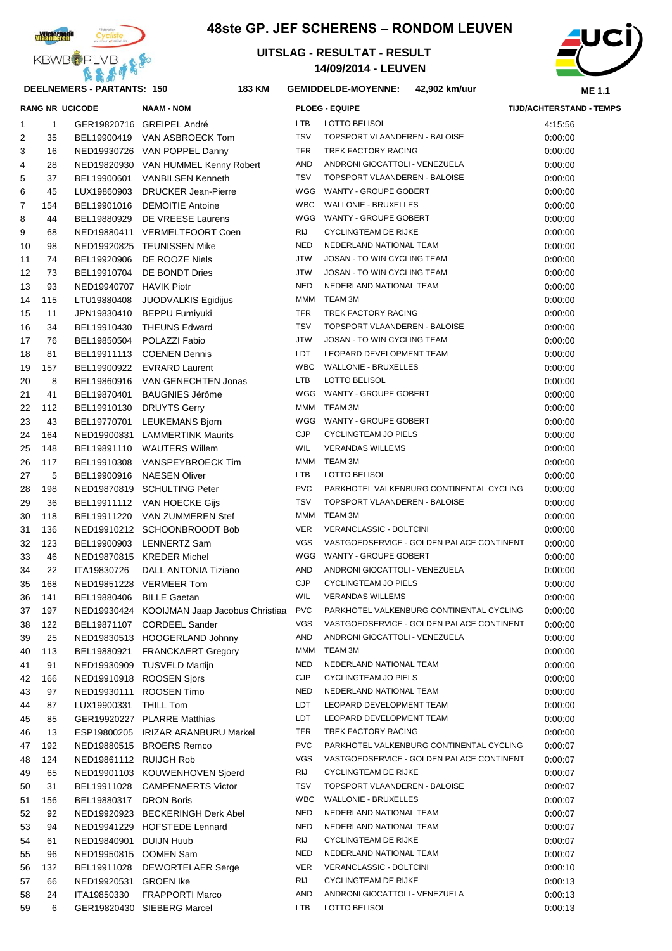

## **48ste GP. JEF SCHERENS – RONDOM LEUVEN**



**RANG NR UCICODE NAAM - NOM PLOEG - EQUIPE TIJD/ACHTERSTAND - TEMPS**



#### **DEELNEMERS - PARTANTS: 150 183**

### **KM GEMIDDELDE-MOYENNE: 42,902 km/uur**

| 1  | $\mathbf{1}$ |                          | GER19820716 GREIPEL André                   | <b>LTB</b> | LOTTO BELISOL                             | 4:15:56 |
|----|--------------|--------------------------|---------------------------------------------|------------|-------------------------------------------|---------|
| 2  | 35           |                          | BEL19900419 VAN ASBROECK Tom                | <b>TSV</b> | TOPSPORT VLAANDEREN - BALOISE             | 0:00:00 |
| 3  | 16           |                          | NED19930726 VAN POPPEL Danny                | <b>TFR</b> | TREK FACTORY RACING                       | 0:00:00 |
| 4  | 28           |                          | NED19820930 VAN HUMMEL Kenny Robert         | AND        | ANDRONI GIOCATTOLI - VENEZUELA            | 0:00:00 |
| 5  | 37           |                          | BEL19900601 VANBILSEN Kenneth               | <b>TSV</b> | TOPSPORT VLAANDEREN - BALOISE             | 0:00:00 |
| 6  | 45           |                          | LUX19860903 DRUCKER Jean-Pierre             |            | WGG WANTY - GROUPE GOBERT                 | 0:00:00 |
| 7  | 154          |                          | BEL19901016 DEMOITIE Antoine                | <b>WBC</b> | <b>WALLONIE - BRUXELLES</b>               | 0:00:00 |
| 8  | 44           |                          | BEL19880929 DE VREESE Laurens               |            | WGG WANTY - GROUPE GOBERT                 | 0:00:00 |
| 9  | 68           |                          | NED19880411 VERMELTFOORT Coen               | RIJ        | <b>CYCLINGTEAM DE RIJKE</b>               | 0:00:00 |
| 10 | 98           |                          | NED19920825 TEUNISSEN Mike                  | <b>NED</b> | NEDERLAND NATIONAL TEAM                   | 0:00:00 |
| 11 | 74           |                          | BEL19920906 DE ROOZE Niels                  | <b>JTW</b> | JOSAN - TO WIN CYCLING TEAM               | 0:00:00 |
|    | 73           |                          | BEL19910704 DE BONDT Dries                  | <b>JTW</b> | JOSAN - TO WIN CYCLING TEAM               | 0:00:00 |
| 12 |              |                          |                                             | <b>NED</b> | NEDERLAND NATIONAL TEAM                   | 0:00:00 |
| 13 | 93           | NED19940707 HAVIK Piotr  |                                             |            |                                           |         |
| 14 | 115          |                          | LTU19880408 JUODVALKIS Egidijus             | <b>MMM</b> | TEAM 3M                                   | 0:00:00 |
| 15 | 11           |                          | JPN19830410 BEPPU Fumiyuki                  | <b>TFR</b> | TREK FACTORY RACING                       | 0:00:00 |
| 16 | 34           |                          | BEL19910430 THEUNS Edward                   | <b>TSV</b> | TOPSPORT VLAANDEREN - BALOISE             | 0:00:00 |
| 17 | 76           |                          | BEL19850504 POLAZZI Fabio                   | <b>JTW</b> | JOSAN - TO WIN CYCLING TEAM               | 0:00:00 |
| 18 | 81           |                          | BEL19911113 COENEN Dennis                   | LDT        | LEOPARD DEVELOPMENT TEAM                  | 0:00:00 |
| 19 | 157          |                          | BEL19900922 EVRARD Laurent                  | <b>WBC</b> | <b>WALLONIE - BRUXELLES</b>               | 0:00:00 |
| 20 | 8            |                          | BEL19860916 VAN GENECHTEN Jonas             | <b>LTB</b> | LOTTO BELISOL                             | 0:00:00 |
| 21 | 41           |                          | BEL19870401 BAUGNIES Jérôme                 |            | WGG WANTY - GROUPE GOBERT                 | 0:00:00 |
| 22 | 112          |                          | BEL19910130 DRUYTS Gerry                    | MMM        | TEAM 3M                                   | 0:00:00 |
| 23 | 43           |                          | BEL19770701 LEUKEMANS Bjorn                 |            | WGG WANTY - GROUPE GOBERT                 | 0:00:00 |
| 24 | 164          |                          | NED19900831 LAMMERTINK Maurits              | CJP        | CYCLINGTEAM JO PIELS                      | 0:00:00 |
| 25 | 148          |                          | BEL19891110 WAUTERS Willem                  | WIL        | <b>VERANDAS WILLEMS</b>                   | 0:00:00 |
| 26 | 117          |                          | BEL19910308 VANSPEYBROECK Tim               |            | MMM TEAM 3M                               | 0:00:00 |
| 27 | 5            |                          | BEL19900916 NAESEN Oliver                   | <b>LTB</b> | LOTTO BELISOL                             | 0:00:00 |
| 28 | 198          |                          | NED19870819 SCHULTING Peter                 | <b>PVC</b> | PARKHOTEL VALKENBURG CONTINENTAL CYCLING  | 0:00:00 |
| 29 | 36           |                          | BEL19911112 VAN HOECKE Gijs                 | <b>TSV</b> | TOPSPORT VLAANDEREN - BALOISE             | 0:00:00 |
| 30 | 118          |                          | BEL19911220 VAN ZUMMEREN Stef               | MMM        | TEAM 3M                                   | 0:00:00 |
| 31 | 136          |                          | NED19910212 SCHOONBROODT Bob                | <b>VER</b> | VERANCLASSIC - DOLTCINI                   | 0:00:00 |
| 32 | 123          |                          | BEL19900903 LENNERTZ Sam                    | VGS        | VASTGOEDSERVICE - GOLDEN PALACE CONTINENT | 0:00:00 |
| 33 | 46           |                          | NED19870815 KREDER Michel                   |            | WGG WANTY - GROUPE GOBERT                 | 0:00:00 |
| 34 | 22           | ITA19830726              | DALL ANTONIA Tiziano                        | AND        | ANDRONI GIOCATTOLI - VENEZUELA            | 0:00:00 |
| 35 | 168          |                          | NED19851228 VERMEER Tom                     | CJP        | <b>CYCLINGTEAM JO PIELS</b>               | 0:00:00 |
| 36 | 141          | BEL19880406 BILLE Gaetan |                                             | <b>WIL</b> | <b>VERANDAS WILLEMS</b>                   | 0:00:00 |
| 37 | 197          |                          | NED19930424 KOOIJMAN Jaap Jacobus Christiaa | <b>PVC</b> | PARKHOTEL VALKENBURG CONTINENTAL CYCLING  | 0:00:00 |
| 38 | 122          | BEL19871107              | <b>CORDEEL Sander</b>                       | <b>VGS</b> | VASTGOEDSERVICE - GOLDEN PALACE CONTINENT | 0:00:00 |
| 39 | 25           |                          | NED19830513 HOOGERLAND Johnny               | AND        | ANDRONI GIOCATTOLI - VENEZUELA            | 0:00:00 |
| 40 | 113          | BEL19880921              | <b>FRANCKAERT Gregory</b>                   | MMM        | TEAM 3M                                   | 0.00:00 |
| 41 | 91           |                          | NED19930909 TUSVELD Martijn                 | <b>NED</b> | NEDERLAND NATIONAL TEAM                   | 0:00:00 |
| 42 | 166          |                          | NED19910918 ROOSEN Sjors                    | <b>CJP</b> | <b>CYCLINGTEAM JO PIELS</b>               | 0:00:00 |
| 43 | 97           |                          | NED19930111 ROOSEN Timo                     | <b>NED</b> | NEDERLAND NATIONAL TEAM                   | 0:00:00 |
| 44 | 87           | LUX19900331              | THILL Tom                                   | LDT        | LEOPARD DEVELOPMENT TEAM                  | 0:00:00 |
| 45 | 85           |                          | GER19920227 PLARRE Matthias                 | LDT        | LEOPARD DEVELOPMENT TEAM                  | 0.00:00 |
| 46 | 13           |                          | ESP19800205 IRIZAR ARANBURU Markel          | TFR        | TREK FACTORY RACING                       | 0:00:00 |
|    |              |                          | NED19880515 BROERS Remco                    | <b>PVC</b> | PARKHOTEL VALKENBURG CONTINENTAL CYCLING  | 0:00:07 |
| 47 | 192          | NED19861112 RUIJGH Rob   |                                             | <b>VGS</b> | VASTGOEDSERVICE - GOLDEN PALACE CONTINENT |         |
| 48 | 124          |                          | NED19901103 KOUWENHOVEN Sjoerd              | RIJ        | <b>CYCLINGTEAM DE RIJKE</b>               | 0:00:07 |
| 49 | 65           |                          |                                             | TSV        | TOPSPORT VLAANDEREN - BALOISE             | 0:00:07 |
| 50 | 31           |                          | BEL19911028 CAMPENAERTS Victor              | <b>WBC</b> | <b>WALLONIE - BRUXELLES</b>               | 0:00:07 |
| 51 | 156          | BEL19880317              | <b>DRON Boris</b>                           | NED        | NEDERLAND NATIONAL TEAM                   | 0:00:07 |
| 52 | 92           |                          | NED19920923 BECKERINGH Derk Abel            |            |                                           | 0:00:07 |
| 53 | 94           |                          | NED19941229 HOFSTEDE Lennard                | NED        | NEDERLAND NATIONAL TEAM                   | 0:00:07 |

 61 NED19840901 DUIJN Huub RIJ CYCLINGTEAM DE RIJKE 0:00:07 96 NED19950815 OOMEN Sam NED NEDERLAND NATIONAL TEAM 0:00:07 132 BEL19911028 DEWORTELAER Serge VER VERANCLASSIC - DOLTCINI 0:00:10 57 66 NED19920531 GROEN Ike RIJ CYCLINGTEAM DE RIJKE RIJKE 0:00:13 24 ITA19850330 FRAPPORTI Marco AND ANDRONI GIOCATTOLI - VENEZUELA 0:00:13 6 GER19820430 SIEBERG Marcel LTB LOTTO BELISOL 0:00:13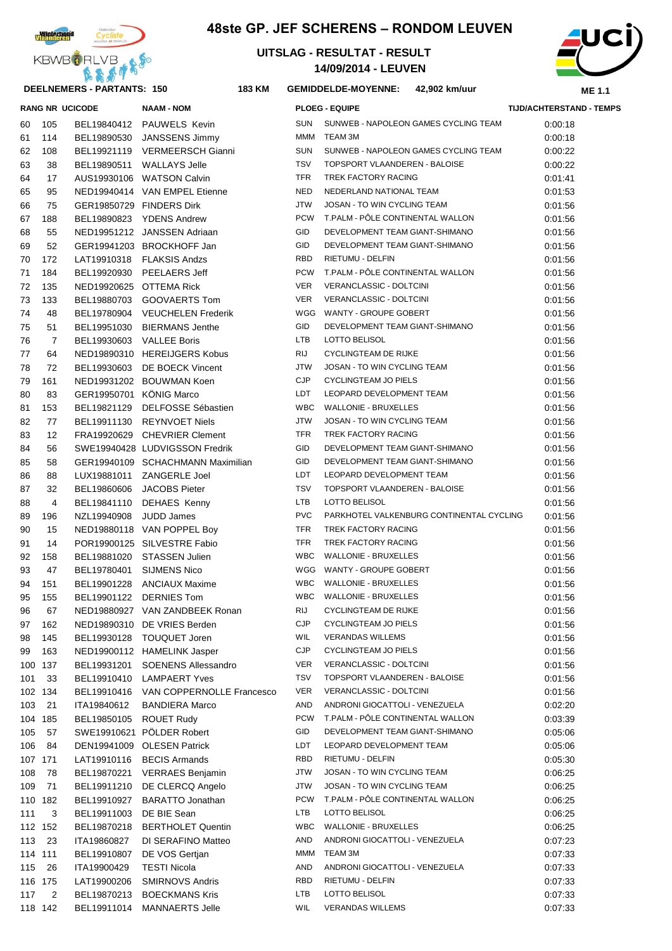

## **48ste GP. JEF SCHERENS – RONDOM LEUVEN**

**KM GEMIDDELDE-MOYENNE: 42,902 km/uur**





**DEELNEMERS - PARTANTS: 150 183**

|     |                | <b>RANG NR UCICODE</b>  | <b>NAAM - NOM</b>                 |            | <b>PLOEG - EQUIPE</b>                    | <b>TIJD/ACHTERSTA</b> |
|-----|----------------|-------------------------|-----------------------------------|------------|------------------------------------------|-----------------------|
| 60  | 105            |                         | BEL19840412 PAUWELS Kevin         | <b>SUN</b> | SUNWEB - NAPOLEON GAMES CYCLING TEAM     | 0.00.18               |
| 61  | 114            | BEL19890530             | JANSSENS Jimmy                    | <b>MMM</b> | TEAM 3M                                  | 0:00:18               |
| 62  | 108            |                         | BEL19921119 VERMEERSCH Gianni     | <b>SUN</b> | SUNWEB - NAPOLEON GAMES CYCLING TEAM     | 0:00:22               |
| 63  | 38             | BEL19890511             | <b>WALLAYS Jelle</b>              | <b>TSV</b> | TOPSPORT VLAANDEREN - BALOISE            | 0:00:22               |
| 64  | 17             |                         | AUS19930106 WATSON Calvin         | <b>TFR</b> | TREK FACTORY RACING                      | 0:01:41               |
| 65  | 95             |                         | NED19940414 VAN EMPEL Etienne     | <b>NED</b> | NEDERLAND NATIONAL TEAM                  | 0:01:53               |
| 66  | 75             |                         | GER19850729 FINDERS Dirk          | <b>JTW</b> | JOSAN - TO WIN CYCLING TEAM              | 0:01:56               |
| 67  | 188            |                         | BEL19890823 YDENS Andrew          | <b>PCW</b> | T.PALM - PÔLE CONTINENTAL WALLON         | 0:01:56               |
| 68  | 55             |                         | NED19951212 JANSSEN Adriaan       | GID        | DEVELOPMENT TEAM GIANT-SHIMANO           | 0:01:56               |
| 69  | 52             |                         | GER19941203 BROCKHOFF Jan         | GID        | DEVELOPMENT TEAM GIANT-SHIMANO           | 0.01.56               |
| 70  | 172            |                         | LAT19910318 FLAKSIS Andzs         | RBD        | <b>RIETUMU - DELFIN</b>                  | 0.01.56               |
| 71  | 184            | BEL19920930             | PEELAERS Jeff                     | <b>PCW</b> | T.PALM - PÔLE CONTINENTAL WALLON         | 0:01:56               |
| 72  | 135            |                         | NED19920625 OTTEMA Rick           | <b>VER</b> | VERANCLASSIC - DOLTCINI                  | 0:01:56               |
| 73  | 133            | BEL19880703             | <b>GOOVAERTS Tom</b>              | <b>VER</b> | VERANCLASSIC - DOLTCINI                  | 0:01:56               |
| 74  | 48             | BEL19780904             | <b>VEUCHELEN Frederik</b>         | WGG        | WANTY - GROUPE GOBERT                    | 0:01:56               |
| 75  | 51             | BEL19951030             | <b>BIERMANS Jenthe</b>            | GID        | DEVELOPMENT TEAM GIANT-SHIMANO           | 0:01:56               |
| 76  | $\overline{7}$ | BEL19930603             | <b>VALLEE Boris</b>               | <b>LTB</b> | <b>LOTTO BELISOL</b>                     | 0:01:56               |
| 77  | 64             |                         | NED19890310 HEREIJGERS Kobus      | <b>RIJ</b> | <b>CYCLINGTEAM DE RIJKE</b>              | 0:01:56               |
| 78  | 72             | BEL19930603             | DE BOECK Vincent                  | <b>JTW</b> | JOSAN - TO WIN CYCLING TEAM              | 0:01:56               |
| 79  | 161            |                         | NED19931202 BOUWMAN Koen          | <b>CJP</b> | <b>CYCLINGTEAM JO PIELS</b>              | 0:01:56               |
| 80  | 83             | GER19950701 KÖNIG Marco |                                   | <b>LDT</b> | LEOPARD DEVELOPMENT TEAM                 | 0.01:56               |
| 81  | 153            | BEL19821129             | <b>DELFOSSE Sébastien</b>         | <b>WBC</b> | <b>WALLONIE - BRUXELLES</b>              | 0:01:56               |
| 82  | 77             | BEL19911130             | <b>REYNVOET Niels</b>             | <b>JTW</b> | JOSAN - TO WIN CYCLING TEAM              | 0:01:56               |
| 83  | 12             |                         | FRA19920629 CHEVRIER Clement      | <b>TFR</b> | TREK FACTORY RACING                      | 0.01.56               |
| 84  | 56             |                         | SWE19940428 LUDVIGSSON Fredrik    | GID        | DEVELOPMENT TEAM GIANT-SHIMANO           | 0.01.56               |
| 85  | 58             |                         | GER19940109 SCHACHMANN Maximilian | GID        | DEVELOPMENT TEAM GIANT-SHIMANO           | 0.01.56               |
| 86  | 88             | LUX19881011             | <b>ZANGERLE Joel</b>              | LDT        | LEOPARD DEVELOPMENT TEAM                 | 0.01.56               |
| 87  | 32             | BEL19860606             | <b>JACOBS Pieter</b>              | <b>TSV</b> | TOPSPORT VLAANDEREN - BALOISE            | 0.01.56               |
| 88  | 4              | BEL19841110             | <b>DEHAES Kenny</b>               | <b>LTB</b> | LOTTO BELISOL                            | 0:01:56               |
| 89  | 196            | NZL19940908             | <b>JUDD James</b>                 | <b>PVC</b> | PARKHOTEL VALKENBURG CONTINENTAL CYCLING | 0:01:56               |
| 90  | 15             |                         | NED19880118 VAN POPPEL Boy        | <b>TFR</b> | TREK FACTORY RACING                      | 0:01:56               |
| 91  | 14             |                         | POR19900125 SILVESTRE Fabio       | <b>TFR</b> | TREK FACTORY RACING                      | 0.01:56               |
| 92  | 158            | BEL19881020             | <b>STASSEN Julien</b>             | <b>WBC</b> | <b>WALLONIE - BRUXELLES</b>              | 0.01:56               |
| 93  | 47             | BEL19780401             | <b>SIJMENS Nico</b>               |            | WGG WANTY - GROUPE GOBERT                | 0:01:56               |
| 94  | 151            | BEL19901228             | <b>ANCIAUX Maxime</b>             | WBC        | <b>WALLONIE - BRUXELLES</b>              | 0:01:56               |
| 95  | 155            |                         | BEL19901122 DERNIES Tom           |            | WBC WALLONIE - BRUXELLES                 | 0.01:56               |
| 96  | 67             |                         | NED19880927 VAN ZANDBEEK Ronan    |            | RIJ CYCLINGTEAM DE RIJKE                 | 0:01:56               |
| 97  | 162            |                         | NED19890310 DE VRIES Berden       | <b>CJP</b> | <b>CYCLINGTEAM JO PIELS</b>              | 0:01:56               |
| 98  | 145            |                         | BEL19930128 TOUQUET Joren         | <b>WIL</b> | <b>VERANDAS WILLEMS</b>                  | 0:01:56               |
| 99  | 163            |                         | NED19900112 HAMELINK Jasper       | <b>CJP</b> | <b>CYCLINGTEAM JO PIELS</b>              | 0:01:56               |
|     | 100 137        | BEL19931201             | <b>SOENENS Allessandro</b>        | <b>VER</b> | VERANCLASSIC - DOLTCINI                  | 0:01:56               |
| 101 | 33             | BEL19910410             | <b>LAMPAERT Yves</b>              | <b>TSV</b> | TOPSPORT VLAANDEREN - BALOISE            | 0:01:56               |
|     | 102 134        | BEL19910416             | VAN COPPERNOLLE Francesco         | <b>VER</b> | VERANCLASSIC - DOLTCINI                  | 0:01:56               |
| 103 | 21             | ITA19840612             | <b>BANDIERA Marco</b>             | AND        | ANDRONI GIOCATTOLI - VENEZUELA           | 0.02:20               |
|     | 104 185        | BEL19850105             | <b>ROUET Rudy</b>                 | <b>PCW</b> | T.PALM - PÖLE CONTINENTAL WALLON         | 0:03:39               |
| 105 | 57             |                         | SWE19910621 PÖLDER Robert         | GID        | DEVELOPMENT TEAM GIANT-SHIMANO           | 0:05:06               |
| 106 | 84             |                         | DEN19941009 OLESEN Patrick        | LDT        | LEOPARD DEVELOPMENT TEAM                 | 0.05:06               |
|     | 107 171        | LAT19910116             | <b>BECIS Armands</b>              | RBD        | RIETUMU - DELFIN                         | 0.05.30               |
| 108 | 78             | BEL19870221             | <b>VERRAES Benjamin</b>           | JTW        | JOSAN - TO WIN CYCLING TEAM              | 0:06:25               |
| 109 | 71             | BEL19911210             | DE CLERCQ Angelo                  | JTW        | JOSAN - TO WIN CYCLING TEAM              | 0:06:25               |
|     | 110 182        | BEL19910927             | <b>BARATTO Jonathan</b>           | <b>PCW</b> | T.PALM - PÖLE CONTINENTAL WALLON         | 0:06:25               |
| 111 | 3              | BEL19911003             | DE BIE Sean                       | LTB        | LOTTO BELISOL                            | 0:06:25               |
|     | 112 152        | BEL19870218             | <b>BERTHOLET Quentin</b>          | <b>WBC</b> | <b>WALLONIE - BRUXELLES</b>              | 0:06:25               |
| 113 | 23             | ITA19860827             | DI SERAFINO Matteo                | AND        | ANDRONI GIOCATTOLI - VENEZUELA           | 0:07:23               |
|     | 114 111        | BEL19910807             | DE VOS Gertjan                    | MMM        | TEAM 3M                                  | 0:07:33               |
| 115 | 26             | ITA19900429             | <b>TESTI Nicola</b>               | AND        | ANDRONI GIOCATTOLI - VENEZUELA           | 0:07:33               |
|     | 116 175        | LAT19900206             | <b>SMIRNOVS Andris</b>            | RBD        | RIETUMU - DELFIN                         | 0:07:33               |
|     | $117 \quad 2$  |                         | BEL19870213 BOECKMANS Kris        | LTB        | LOTTO BELISOL                            | 0:07:33               |

| 62 | 108            |                          | BEL19921119 VERMEERSCH Gianni     | <b>SUN</b> | SUNWEB - NAPOLEON GAMES CYCLING TEAM     | 0:00:22 |
|----|----------------|--------------------------|-----------------------------------|------------|------------------------------------------|---------|
| 63 | 38             |                          | BEL19890511 WALLAYS Jelle         | <b>TSV</b> | TOPSPORT VLAANDEREN - BALOISE            | 0:00:22 |
| 64 | 17             |                          | AUS19930106 WATSON Calvin         | <b>TFR</b> | TREK FACTORY RACING                      | 0:01:41 |
| 65 | 95             |                          | NED19940414 VAN EMPEL Etienne     | <b>NED</b> | NEDERLAND NATIONAL TEAM                  | 0:01:53 |
| 66 | 75             | GER19850729 FINDERS Dirk |                                   | JTW        | JOSAN - TO WIN CYCLING TEAM              | 0:01:56 |
| 67 | 188            |                          | BEL19890823 YDENS Andrew          | <b>PCW</b> | T.PALM - PÔLE CONTINENTAL WALLON         | 0:01:56 |
| 68 | 55             |                          | NED19951212 JANSSEN Adriaan       | <b>GID</b> | DEVELOPMENT TEAM GIANT-SHIMANO           | 0:01:56 |
| 69 | 52             |                          | GER19941203 BROCKHOFF Jan         | GID        | DEVELOPMENT TEAM GIANT-SHIMANO           | 0:01:56 |
| 70 | 172            |                          | LAT19910318 FLAKSIS Andzs         | <b>RBD</b> | RIETUMU - DELFIN                         | 0:01:56 |
| 71 | 184            |                          | BEL19920930 PEELAERS Jeff         | <b>PCW</b> | T.PALM - PÔLE CONTINENTAL WALLON         | 0:01:56 |
| 72 | 135            | NED19920625 OTTEMA Rick  |                                   | <b>VER</b> | VERANCLASSIC - DOLTCINI                  | 0.01.56 |
| 73 | 133            |                          | BEL19880703 GOOVAERTS Tom         | <b>VER</b> | VERANCLASSIC - DOLTCINI                  | 0:01:56 |
| 74 | 48             |                          | BEL19780904 VEUCHELEN Frederik    |            | WGG WANTY - GROUPE GOBERT                | 0:01:56 |
| 75 | 51             |                          | BEL19951030 BIERMANS Jenthe       | <b>GID</b> | DEVELOPMENT TEAM GIANT-SHIMANO           | 0:01:56 |
| 76 | $\overline{7}$ | BEL19930603 VALLEE Boris |                                   | <b>LTB</b> | LOTTO BELISOL                            | 0:01:56 |
| 77 | 64             |                          | NED19890310 HEREIJGERS Kobus      | <b>RIJ</b> | <b>CYCLINGTEAM DE RIJKE</b>              | 0:01:56 |
| 78 | 72             |                          | BEL19930603 DE BOECK Vincent      | <b>JTW</b> | JOSAN - TO WIN CYCLING TEAM              | 0.01.56 |
| 79 | 161            |                          | NED19931202 BOUWMAN Koen          | <b>CJP</b> | <b>CYCLINGTEAM JO PIELS</b>              | 0.01:56 |
| 80 | 83             | GER19950701 KÖNIG Marco  |                                   | <b>LDT</b> | LEOPARD DEVELOPMENT TEAM                 | 0:01:56 |
| 81 | 153            |                          | BEL19821129 DELFOSSE Sébastien    | <b>WBC</b> | <b>WALLONIE - BRUXELLES</b>              | 0:01:56 |
| 82 | 77             |                          | BEL19911130 REYNVOET Niels        | JTW        | JOSAN - TO WIN CYCLING TEAM              | 0:01:56 |
| 83 | 12             |                          | FRA19920629 CHEVRIER Clement      | <b>TFR</b> | TREK FACTORY RACING                      | 0:01:56 |
| 84 | 56             |                          | SWE19940428 LUDVIGSSON Fredrik    | <b>GID</b> | DEVELOPMENT TEAM GIANT-SHIMANO           | 0:01:56 |
| 85 | 58             |                          | GER19940109 SCHACHMANN Maximilian | GID        | DEVELOPMENT TEAM GIANT-SHIMANO           | 0:01:56 |
| 86 | 88             |                          | LUX19881011 ZANGERLE Joel         | LDT        | LEOPARD DEVELOPMENT TEAM                 | 0:01:56 |
| 87 | 32             |                          | BEL19860606 JACOBS Pieter         | <b>TSV</b> | TOPSPORT VLAANDEREN - BALOISE            | 0:01:56 |
| 88 | 4              |                          | BEL19841110 DEHAES Kenny          | <b>LTB</b> | LOTTO BELISOL                            | 0.01.56 |
| 89 | 196            | NZL19940908 JUDD James   |                                   | <b>PVC</b> | PARKHOTEL VALKENBURG CONTINENTAL CYCLING | 0:01:56 |
| 90 | 15             |                          | NED19880118 VAN POPPEL Boy        | <b>TFR</b> | TREK FACTORY RACING                      | 0:01:56 |
| 91 | 14             |                          | POR19900125 SILVESTRE Fabio       | <b>TFR</b> | TREK FACTORY RACING                      | 0:01:56 |
| 92 | 158            |                          | BEL19881020 STASSEN Julien        | <b>WBC</b> | <b>WALLONIE - BRUXELLES</b>              | 0:01:56 |
| 93 | 47             |                          | BEL19780401 SIJMENS Nico          |            | WGG WANTY - GROUPE GOBERT                | 0.01:56 |
| 94 | 151            |                          | BEL19901228 ANCIAUX Maxime        |            | WBC WALLONIE - BRUXELLES                 | 0.01.56 |
| 95 | 155            |                          | BEL19901122 DERNIES Tom           |            | WBC WALLONIE - BRUXELLES                 | 0.01.56 |
| 96 | 67             |                          | NED19880927 VAN ZANDBEEK Ronan    | RIJ        | CYCLINGTEAM DE RIJKE                     | 0:01:56 |
| 97 | 162            |                          | NED19890310 DE VRIES Berden       | <b>CJP</b> | <b>CYCLINGTEAM JO PIELS</b>              | 0:01:56 |
| 98 | 145            |                          | BEL19930128 TOUQUET Joren         | <b>WIL</b> | <b>VERANDAS WILLEMS</b>                  | 0:01:56 |
| aa | 163            |                          | NED19900112 HAMELINK lasner       | C.IP       | CYCLINGTFAM JO PIFLS                     | 0.01.56 |

142 BEL19911014 MANNAERTS Jelle WIL VERANDAS WILLEMS 0:07:33

**RANG NR UCICODE NAAM - NOM PLOEG - EQUIPE TIJD/ACHTERSTAND - TEMPS**